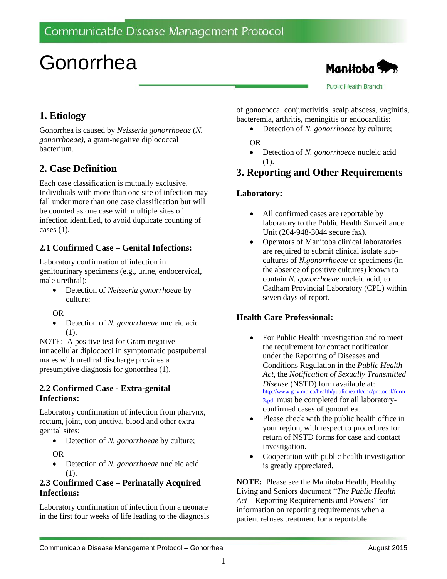# Gonorrhea



**Public Health Branch** 

# **1. Etiology**

Gonorrhea is caused by *Neisseria gonorrhoeae* (*N. gonorrhoeae),* a gram-negative diplococcal bacterium.

# **2. Case Definition**

Each case classification is mutually exclusive. Individuals with more than one site of infection may fall under more than one case classification but will be counted as one case with multiple sites of infection identified, to avoid duplicate counting of cases  $(1)$ .

## **2.1 Confirmed Case – Genital Infections:**

Laboratory confirmation of infection in genitourinary specimens (e.g., urine, endocervical, male urethral):

- Detection of *Neisseria gonorrhoeae* by culture;
- OR
- Detection of *N. gonorrhoeae* nucleic acid (1).

NOTE: A positive test for Gram-negative intracellular diplococci in symptomatic postpubertal males with urethral discharge provides a presumptive diagnosis for gonorrhea (1).

## **2.2 Confirmed Case - Extra-genital Infections:**

Laboratory confirmation of infection from pharynx, rectum, joint, conjunctiva, blood and other extragenital sites:

- Detection of *N. gonorrhoeae* by culture; OR
- Detection of *N. gonorrhoeae* nucleic acid (1).

## **2.3 Confirmed Case – Perinatally Acquired Infections:**

Laboratory confirmation of infection from a neonate in the first four weeks of life leading to the diagnosis of gonococcal conjunctivitis, scalp abscess, vaginitis, bacteremia, arthritis, meningitis or endocarditis:

Detection of *N. gonorrhoeae* by culture;

OR

 Detection of *N. gonorrhoeae* nucleic acid (1).

# **3. Reporting and Other Requirements**

## **Laboratory:**

- All confirmed cases are reportable by laboratory to the Public Health Surveillance Unit (204-948-3044 secure fax).
- Operators of Manitoba clinical laboratories are required to submit clinical isolate subcultures of *N.gonorrhoeae* or specimens (in the absence of positive cultures) known to contain *N. gonorrhoeae* nucleic acid, to Cadham Provincial Laboratory (CPL) within seven days of report.

## **Health Care Professional:**

- For Public Health investigation and to meet the requirement for contact notification under the Reporting of Diseases and Conditions Regulation in the *Public Health Act*, the *Notification of Sexually Transmitted Disease* (NSTD) form available at: [http://www.gov.mb.ca/health/publichealth/cdc/protocol/form](http://www.gov.mb.ca/health/publichealth/cdc/protocol/form3.pdf) [3.pdf](http://www.gov.mb.ca/health/publichealth/cdc/protocol/form3.pdf) must be completed for all laboratoryconfirmed cases of gonorrhea.
- Please check with the public health office in your region, with respect to procedures for return of NSTD forms for case and contact investigation.
- Cooperation with public health investigation is greatly appreciated.

**NOTE:** Please see the Manitoba Health, Healthy Living and Seniors document "*The Public Health Act* – Reporting Requirements and Powers" for information on reporting requirements when a patient refuses treatment for a reportable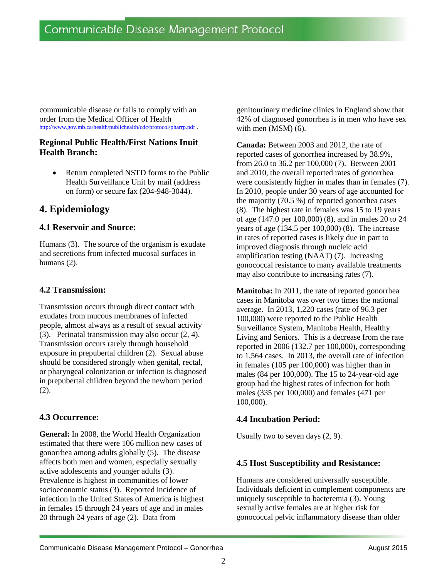communicable disease or fails to comply with an order from the Medical Officer of Health <http://www.gov.mb.ca/health/publichealth/cdc/protocol/pharrp.pdf> .

#### **Regional Public Health/First Nations Inuit Health Branch:**

 Return completed NSTD forms to the Public Health Surveillance Unit by mail (address on form) or secure fax (204-948-3044).

# **4. Epidemiology**

## **4.1 Reservoir and Source:**

Humans (3). The source of the organism is exudate and secretions from infected mucosal surfaces in humans (2).

## **4.2 Transmission:**

Transmission occurs through direct contact with exudates from mucous membranes of infected people, almost always as a result of sexual activity (3). Perinatal transmission may also occur (2, 4). Transmission occurs rarely through household exposure in prepubertal children (2). Sexual abuse should be considered strongly when genital, rectal, or pharyngeal colonization or infection is diagnosed in prepubertal children beyond the newborn period (2).

#### **4.3 Occurrence:**

**General:** In 2008, the World Health Organization estimated that there were 106 million new cases of gonorrhea among adults globally (5). The disease affects both men and women, especially sexually active adolescents and younger adults (3). Prevalence is highest in communities of lower socioeconomic status (3). Reported incidence of infection in the United States of America is highest in females 15 through 24 years of age and in males 20 through 24 years of age (2). Data from

genitourinary medicine clinics in England show that 42% of diagnosed gonorrhea is in men who have sex with men (MSM) (6).

**Canada:** Between 2003 and 2012, the rate of reported cases of gonorrhea increased by 38.9%, from 26.0 to 36.2 per 100,000 (7). Between 2001 and 2010, the overall reported rates of gonorrhea were consistently higher in males than in females (7). In 2010, people under 30 years of age accounted for the majority (70.5 %) of reported gonorrhea cases (8). The highest rate in females was 15 to 19 years of age (147.0 per 100,000) (8), and in males 20 to 24 years of age (134.5 per 100,000) (8). The increase in rates of reported cases is likely due in part to improved diagnosis through nucleic acid amplification testing (NAAT) (7). Increasing gonococcal resistance to many available treatments may also contribute to increasing rates (7).

**Manitoba:** In 2011, the rate of reported gonorrhea cases in Manitoba was over two times the national average.In 2013, 1,220 cases (rate of 96.3 per 100,000) were reported to the Public Health Surveillance System, Manitoba Health, Healthy Living and Seniors. This is a decrease from the rate reported in 2006 (132.7 per 100,000), corresponding to 1,564 cases. In 2013, the overall rate of infection in females (105 per 100,000) was higher than in males (84 per 100,000). The 15 to 24-year-old age group had the highest rates of infection for both males (335 per 100,000) and females (471 per 100,000).

## **4.4 Incubation Period:**

Usually two to seven days (2, 9).

## **4.5 Host Susceptibility and Resistance:**

Humans are considered universally susceptible. Individuals deficient in complement components are uniquely susceptible to bacteremia (3). Young sexually active females are at higher risk for gonococcal pelvic inflammatory disease than older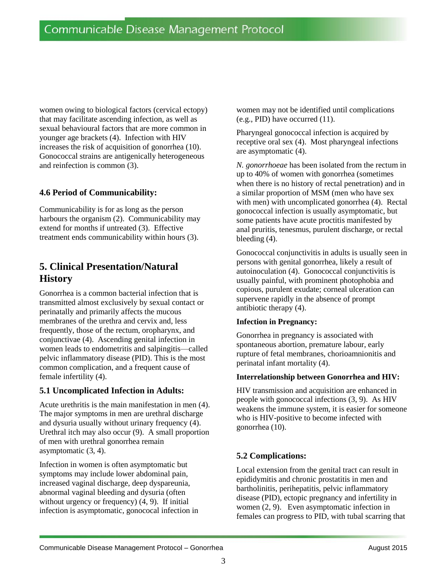women owing to biological factors (cervical ectopy) that may facilitate ascending infection, as well as sexual behavioural factors that are more common in younger age brackets (4). Infection with HIV increases the risk of acquisition of gonorrhea (10). Gonococcal strains are antigenically heterogeneous and reinfection is common (3).

## **4.6 Period of Communicability:**

Communicability is for as long as the person harbours the organism (2). Communicability may extend for months if untreated (3). Effective treatment ends communicability within hours (3).

# **5. Clinical Presentation/Natural History**

Gonorrhea is a common bacterial infection that is transmitted almost exclusively by sexual contact or perinatally and primarily affects the mucous membranes of the urethra and cervix and, less frequently, those of the rectum, oropharynx, and conjunctivae (4). Ascending genital infection in women leads to endometritis and salpingitis—called pelvic inflammatory disease (PID). This is the most common complication, and a frequent cause of female infertility (4).

## **5.1 Uncomplicated Infection in Adults:**

Acute urethritis is the main manifestation in men (4). The major symptoms in men are urethral discharge and dysuria usually without urinary frequency (4). Urethral itch may also occur (9). A small proportion of men with urethral gonorrhea remain asymptomatic (3, 4).

Infection in women is often asymptomatic but symptoms may include lower abdominal pain, increased vaginal discharge, deep dyspareunia, abnormal vaginal bleeding and dysuria (often without urgency or frequency)  $(4, 9)$ . If initial infection is asymptomatic, gonococal infection in women may not be identified until complications (e.g., PID) have occurred (11).

Pharyngeal gonococcal infection is acquired by receptive oral sex (4). Most pharyngeal infections are asymptomatic (4).

*N. gonorrhoeae* has been isolated from the rectum in up to 40% of women with gonorrhea (sometimes when there is no history of rectal penetration) and in a similar proportion of MSM (men who have sex with men) with uncomplicated gonorrhea (4). Rectal gonococcal infection is usually asymptomatic, but some patients have acute proctitis manifested by anal pruritis, tenesmus, purulent discharge, or rectal bleeding (4).

Gonococcal conjunctivitis in adults is usually seen in persons with genital gonorrhea, likely a result of autoinoculation (4). Gonococcal conjunctivitis is usually painful, with prominent photophobia and copious, purulent exudate; corneal ulceration can supervene rapidly in the absence of prompt antibiotic therapy (4).

#### **Infection in Pregnancy:**

Gonorrhea in pregnancy is associated with spontaneous abortion, premature labour, early rupture of fetal membranes, chorioamnionitis and perinatal infant mortality (4).

#### **Interrelationship between Gonorrhea and HIV:**

HIV transmission and acquisition are enhanced in people with gonococcal infections (3, 9). As HIV weakens the immune system, it is easier for someone who is HIV-positive to become infected with gonorrhea (10).

## **5.2 Complications:**

Local extension from the genital tract can result in epididymitis and chronic prostatitis in men and bartholinitis, perihepatitis, pelvic inflammatory disease (PID), ectopic pregnancy and infertility in women (2, 9). Even asymptomatic infection in females can progress to PID, with tubal scarring that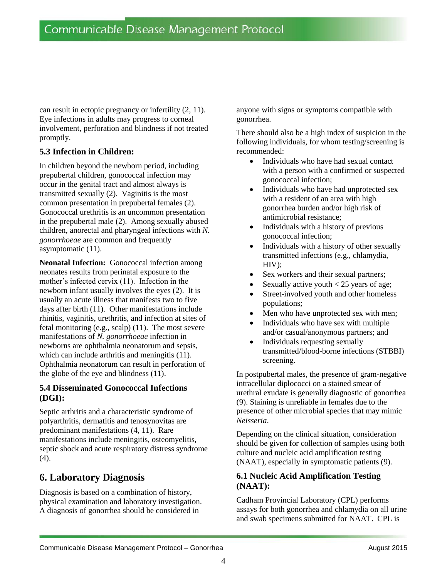can result in ectopic pregnancy or infertility (2, 11). Eye infections in adults may progress to corneal involvement, perforation and blindness if not treated promptly.

## **5.3 Infection in Children:**

In children beyond the newborn period, including prepubertal children, gonococcal infection may occur in the genital tract and almost always is transmitted sexually (2). Vaginitis is the most common presentation in prepubertal females (2). Gonococcal urethritis is an uncommon presentation in the prepubertal male (2). Among sexually abused children, anorectal and pharyngeal infections with *N. gonorrhoeae* are common and frequently asymptomatic (11).

**Neonatal Infection:** Gonococcal infection among neonates results from perinatal exposure to the mother's infected cervix (11). Infection in the newborn infant usually involves the eyes (2). It is usually an acute illness that manifests two to five days after birth (11). Other manifestations include rhinitis, vaginitis, urethritis, and infection at sites of fetal monitoring (e.g., scalp) (11). The most severe manifestations of *N. gonorrhoeae* infection in newborns are ophthalmia neonatorum and sepsis, which can include arthritis and meningitis  $(11)$ . Ophthalmia neonatorum can result in perforation of the globe of the eye and blindness (11).

## **5.4 Disseminated Gonococcal Infections (DGI):**

Septic arthritis and a characteristic syndrome of polyarthritis, dermatitis and tenosynovitas are predominant manifestations (4, 11). Rare manifestations include meningitis, osteomyelitis, septic shock and acute respiratory distress syndrome (4).

# **6. Laboratory Diagnosis**

Diagnosis is based on a combination of history, physical examination and laboratory investigation. A diagnosis of gonorrhea should be considered in

anyone with signs or symptoms compatible with gonorrhea.

There should also be a high index of suspicion in the following individuals, for whom testing/screening is recommended:

- Individuals who have had sexual contact with a person with a confirmed or suspected gonococcal infection;
- Individuals who have had unprotected sex with a resident of an area with high gonorrhea burden and/or high risk of antimicrobial resistance;
- Individuals with a history of previous gonococcal infection;
- Individuals with a history of other sexually transmitted infections (e.g., chlamydia, HIV);
- Sex workers and their sexual partners;
- Sexually active youth  $< 25$  years of age;
- Street-involved youth and other homeless populations;
- Men who have unprotected sex with men;
- Individuals who have sex with multiple and/or casual/anonymous partners; and
- Individuals requesting sexually transmitted/blood-borne infections (STBBI) screening.

In postpubertal males, the presence of gram-negative intracellular diplococci on a stained smear of urethral exudate is generally diagnostic of gonorrhea (9). Staining is unreliable in females due to the presence of other microbial species that may mimic *Neisseria*.

Depending on the clinical situation, consideration should be given for collection of samples using both culture and nucleic acid amplification testing (NAAT), especially in symptomatic patients (9).

## **6.1 Nucleic Acid Amplification Testing (NAAT):**

Cadham Provincial Laboratory (CPL) performs assays for both gonorrhea and chlamydia on all urine and swab specimens submitted for NAAT. CPL is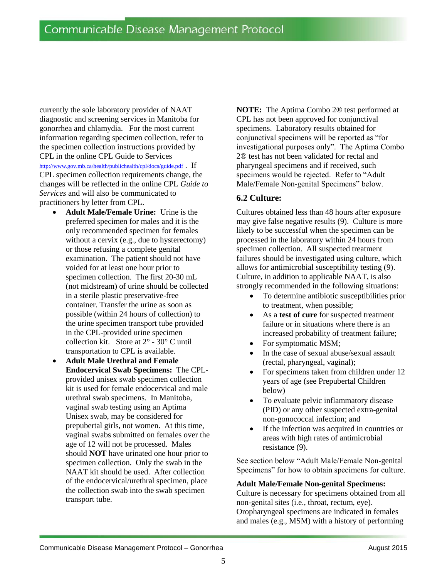currently the sole laboratory provider of NAAT diagnostic and screening services in Manitoba for gonorrhea and chlamydia. For the most current information regarding specimen collection, refer to the specimen collection instructions provided by CPL in the online CPL Guide to Services <http://www.gov.mb.ca/health/publichealth/cpl/docs/guide.pdf> . If CPL specimen collection requirements change, the changes will be reflected in the online CPL *Guide to Services* and will also be communicated to practitioners by letter from CPL.

- **Adult Male/Female Urine:** Urine is the preferred specimen for males and it is the only recommended specimen for females without a cervix (e.g., due to hysterectomy) or those refusing a complete genital examination. The patient should not have voided for at least one hour prior to specimen collection. The first 20-30 mL (not midstream) of urine should be collected in a sterile plastic preservative-free container. Transfer the urine as soon as possible (within 24 hours of collection) to the urine specimen transport tube provided in the CPL-provided urine specimen collection kit. Store at  $2^{\circ}$  - 30 $^{\circ}$  C until transportation to CPL is available.
- **Adult Male Urethral and Female Endocervical Swab Specimens:** The CPLprovided unisex swab specimen collection kit is used for female endocervical and male urethral swab specimens. In Manitoba, vaginal swab testing using an Aptima Unisex swab, may be considered for prepubertal girls, not women. At this time, vaginal swabs submitted on females over the age of 12 will not be processed. Males should **NOT** have urinated one hour prior to specimen collection. Only the swab in the NAAT kit should be used. After collection of the endocervical/urethral specimen, place the collection swab into the swab specimen transport tube.

**NOTE:** The Aptima Combo 2® test performed at CPL has not been approved for conjunctival specimens. Laboratory results obtained for conjunctival specimens will be reported as "for investigational purposes only". The Aptima Combo 2® test has not been validated for rectal and pharyngeal specimens and if received, such specimens would be rejected. Refer to "Adult Male/Female Non-genital Specimens" below.

## **6.2 Culture:**

Cultures obtained less than 48 hours after exposure may give false negative results (9). Culture is more likely to be successful when the specimen can be processed in the laboratory within 24 hours from specimen collection. All suspected treatment failures should be investigated using culture, which allows for antimicrobial susceptibility testing (9). Culture, in addition to applicable NAAT, is also strongly recommended in the following situations:

- To determine antibiotic susceptibilities prior to treatment, when possible;
- As a **test of cure** for suspected treatment failure or in situations where there is an increased probability of treatment failure;
- For symptomatic MSM;
- In the case of sexual abuse/sexual assault (rectal, pharyngeal, vaginal);
- For specimens taken from children under 12 years of age (see Prepubertal Children below)
- To evaluate pelvic inflammatory disease (PID) or any other suspected extra-genital non-gonococcal infection; and
- If the infection was acquired in countries or areas with high rates of antimicrobial resistance (9).

See section below "Adult Male/Female Non-genital Specimens" for how to obtain specimens for culture.

#### **Adult Male/Female Non-genital Specimens:**

Culture is necessary for specimens obtained from all non-genital sites (i.e., throat, rectum, eye). Oropharyngeal specimens are indicated in females and males (e.g., MSM) with a history of performing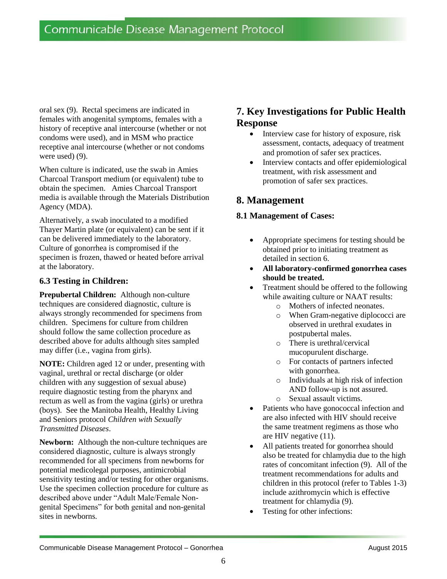oral sex (9). Rectal specimens are indicated in females with anogenital symptoms, females with a history of receptive anal intercourse (whether or not condoms were used), and in MSM who practice receptive anal intercourse (whether or not condoms were used) (9).

When culture is indicated, use the swab in Amies Charcoal Transport medium (or equivalent) tube to obtain the specimen. Amies Charcoal Transport media is available through the Materials Distribution Agency (MDA).

Alternatively, a swab inoculated to a modified Thayer Martin plate (or equivalent) can be sent if it can be delivered immediately to the laboratory. Culture of gonorrhea is compromised if the specimen is frozen, thawed or heated before arrival at the laboratory.

## **6.3 Testing in Children:**

**Prepubertal Children:** Although non-culture techniques are considered diagnostic, culture is always strongly recommended for specimens from children. Specimens for culture from children should follow the same collection procedure as described above for adults although sites sampled may differ (i.e., vagina from girls).

**NOTE:** Children aged 12 or under, presenting with vaginal, urethral or rectal discharge (or older children with any suggestion of sexual abuse) require diagnostic testing from the pharynx and rectum as well as from the vagina (girls) or urethra (boys). See the Manitoba Health, Healthy Living and Seniors protocol *Children with Sexually Transmitted Diseases*.

**Newborn:** Although the non-culture techniques are considered diagnostic, culture is always strongly recommended for all specimens from newborns for potential medicolegal purposes, antimicrobial sensitivity testing and/or testing for other organisms. Use the specimen collection procedure for culture as described above under "Adult Male/Female Nongenital Specimens" for both genital and non-genital sites in newborns.

# **7. Key Investigations for Public Health Response**

- Interview case for history of exposure, risk assessment, contacts, adequacy of treatment and promotion of safer sex practices.
- Interview contacts and offer epidemiological treatment, with risk assessment and promotion of safer sex practices.

# **8. Management**

## **8.1 Management of Cases:**

- Appropriate specimens for testing should be obtained prior to initiating treatment as detailed in section 6.
- **All laboratory-confirmed gonorrhea cases should be treated.**
- Treatment should be offered to the following while awaiting culture or NAAT results:
	- o Mothers of infected neonates.
	- o When Gram-negative diplococci are observed in urethral exudates in postpubertal males.
	- o There is urethral/cervical mucopurulent discharge.
	- o For contacts of partners infected with gonorrhea.
	- o Individuals at high risk of infection AND follow-up is not assured.
	- o Sexual assault victims.
- Patients who have gonococcal infection and are also infected with HIV should receive the same treatment regimens as those who are HIV negative (11).
- All patients treated for gonorrhea should also be treated for chlamydia due to the high rates of concomitant infection (9). All of the treatment recommendations for adults and children in this protocol (refer to Tables 1-3) include azithromycin which is effective treatment for chlamydia (9).
- Testing for other infections: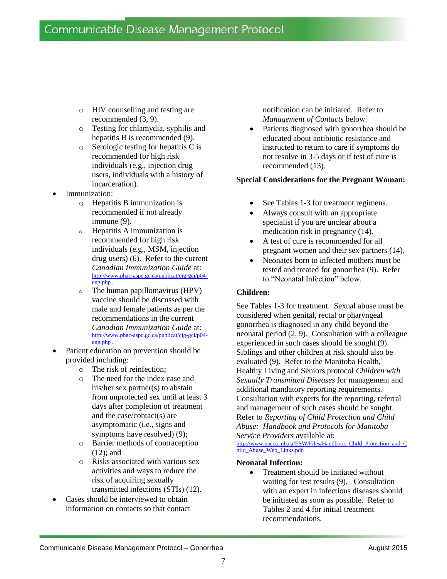- o HIV counselling and testing are recommended (3, 9).
- o Testing for chlamydia, syphilis and hepatitis B is recommended (9).
- o Serologic testing for hepatitis C is recommended for high risk individuals (e.g., injection drug users, individuals with a history of incarceration).
- Immunization:
	- o Hepatitis B immunization is recommended if not already immune (9).
	- o Hepatitis A immunization is recommended for high risk individuals (e.g., MSM, injection drug users) (6). Refer to the current *Canadian Immunization Guide* at: [http://www.phac-aspc.gc.ca/publicat/cig-gci/p04](http://www.phac-aspc.gc.ca/publicat/cig-gci/p04-eng.php) [eng.php](http://www.phac-aspc.gc.ca/publicat/cig-gci/p04-eng.php) .
	- o The human papillomavirus (HPV) vaccine should be discussed with male and female patients as per the recommendations in the current *Canadian Immunization Guide* at: [http://www.phac-aspc.gc.ca/publicat/cig-gci/p04](http://www.phac-aspc.gc.ca/publicat/cig-gci/p04-eng.php) [eng.php](http://www.phac-aspc.gc.ca/publicat/cig-gci/p04-eng.php) .
- Patient education on prevention should be provided including:
	- o The risk of reinfection;
	- o The need for the index case and his/her sex partner(s) to abstain from unprotected sex until at least 3 days after completion of treatment and the case/contact(s) are asymptomatic (i.e., signs and symptoms have resolved) (9);
	- o Barrier methods of contraception (12); and
	- o Risks associated with various sex activities and ways to reduce the risk of acquiring sexually transmitted infections (STIs) (12).
- Cases should be interviewed to obtain information on contacts so that contact

notification can be initiated. Refer to *Management of Contacts* below.

 Patients diagnosed with gonorrhea should be educated about antibiotic resistance and instructed to return to care if symptoms do not resolve in 3-5 days or if test of cure is recommended (13).

#### **Special Considerations for the Pregnant Woman:**

- See Tables 1-3 for treatment regimens.
- Always consult with an appropriate specialist if you are unclear about a medication risk in pregnancy (14).
- A test of cure is recommended for all pregnant women and their sex partners (14).
- Neonates born to infected mothers must be tested and treated for gonorrhea (9). Refer to "Neonatal Infection" below.

#### **Children:**

See Tables 1-3 for treatment. Sexual abuse must be considered when genital, rectal or pharyngeal gonorrhea is diagnosed in any child beyond the neonatal period (2, 9). Consultation with a colleague experienced in such cases should be sought (9). Siblings and other children at risk should also be evaluated (9). Refer to the Manitoba Health, Healthy Living and Seniors protocol *Children with Sexually Transmitted Diseases* for management and additional mandatory reporting requirements*.* Consultation with experts for the reporting, referral and management of such cases should be sought. Refer to *Reporting of Child Protection and Child Abuse: Handbook and Protocols for Manitoba Service Providers* available at:

[http://www.pacca.mb.ca/ESW/Files/Handbook\\_Child\\_Protection\\_and\\_C](http://www.pacca.mb.ca/ESW/Files/Handbook_Child_Protection_and_Child_Abuse_Web_Links.pdf) hild Abuse Web Links.pdf .

#### **Neonatal Infection:**

• Treatment should be initiated without waiting for test results (9). Consultation with an expert in infectious diseases should be initiated as soon as possible. Refer to Tables 2 and 4 for initial treatment recommendations.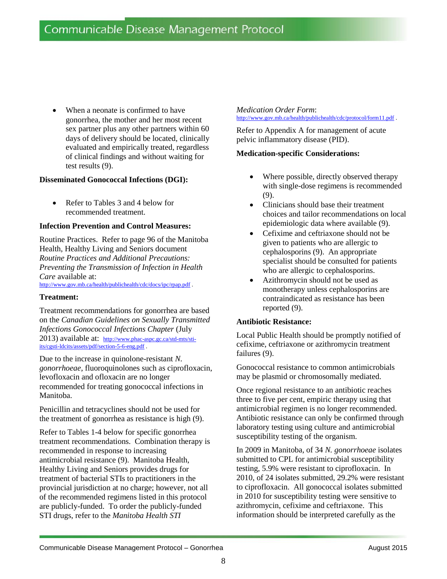When a neonate is confirmed to have gonorrhea, the mother and her most recent sex partner plus any other partners within 60 days of delivery should be located, clinically evaluated and empirically treated, regardless of clinical findings and without waiting for test results (9).

#### **Disseminated Gonococcal Infections (DGI):**

 Refer to Tables 3 and 4 below for recommended treatment.

#### **Infection Prevention and Control Measures:**

Routine Practices. Refer to page 96 of the Manitoba Health, Healthy Living and Seniors document *Routine Practices and Additional Precautions: Preventing the Transmission of Infection in Health Care* available at: <http://www.gov.mb.ca/health/publichealth/cdc/docs/ipc/rpap.pdf> .

#### **Treatment:**

Treatment recommendations for gonorrhea are based on the *Canadian Guidelines on Sexually Transmitted Infections Gonococcal Infections Chapter* (July 2013) available at: [http://www.phac-aspc.gc.ca/std-mts/sti](http://www.phac-aspc.gc.ca/std-mts/sti-its/cgsti-ldcits/assets/pdf/section-5-6-eng.pdf)[its/cgsti-ldcits/assets/pdf/section-5-6-eng.pdf](http://www.phac-aspc.gc.ca/std-mts/sti-its/cgsti-ldcits/assets/pdf/section-5-6-eng.pdf) .

Due to the increase in quinolone-resistant *N. gonorrhoeae*, fluoroquinolones such as ciprofloxacin, levofloxacin and ofloxacin are no longer recommended for treating gonococcal infections in Manitoba.

Penicillin and tetracyclines should not be used for the treatment of gonorrhea as resistance is high (9).

Refer to Tables 1-4 below for specific gonorrhea treatment recommendations. Combination therapy is recommended in response to increasing antimicrobial resistance (9). Manitoba Health, Healthy Living and Seniors provides drugs for treatment of bacterial STIs to practitioners in the provincial jurisdiction at no charge; however, not all of the recommended regimens listed in this protocol are publicly-funded. To order the publicly-funded STI drugs, refer to the *Manitoba Health STI* 

#### *Medication Order Form*:

<http://www.gov.mb.ca/health/publichealth/cdc/protocol/form11.pdf> .

Refer to Appendix A for management of acute pelvic inflammatory disease (PID).

#### **Medication-specific Considerations:**

- Where possible, directly observed therapy with single-dose regimens is recommended (9).
- Clinicians should base their treatment choices and tailor recommendations on local epidemiologic data where available (9).
- Cefixime and ceftriaxone should not be given to patients who are allergic to cephalosporins (9). An appropriate specialist should be consulted for patients who are allergic to cephalosporins.
- Azithromycin should not be used as monotherapy unless cephalosporins are contraindicated as resistance has been reported (9).

#### **Antibiotic Resistance:**

Local Public Health should be promptly notified of cefixime, ceftriaxone or azithromycin treatment failures (9).

Gonococcal resistance to common antimicrobials may be plasmid or chromosomally mediated.

Once regional resistance to an antibiotic reaches three to five per cent, empiric therapy using that antimicrobial regimen is no longer recommended. Antibiotic resistance can only be confirmed through laboratory testing using culture and antimicrobial susceptibility testing of the organism.

In 2009 in Manitoba, of 34 *N. gonorrhoeae* isolates submitted to CPL for antimicrobial susceptibility testing, 5.9% were resistant to ciprofloxacin. In 2010, of 24 isolates submitted, 29.2% were resistant to ciprofloxacin. All gonococcal isolates submitted in 2010 for susceptibility testing were sensitive to azithromycin, cefixime and ceftriaxone. This information should be interpreted carefully as the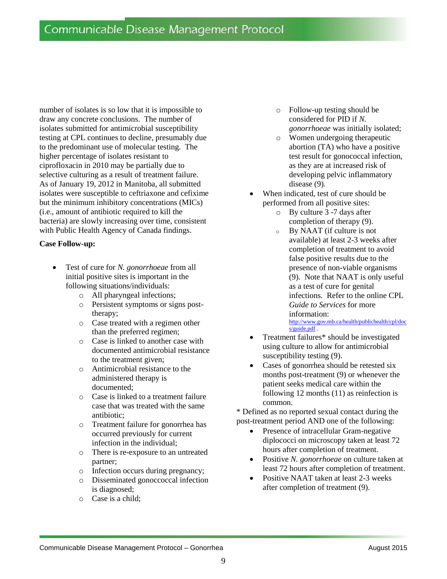number of isolates is so low that it is impossible to draw any concrete conclusions. The number of isolates submitted for antimicrobial susceptibility testing at CPL continues to decline, presumably due to the predominant use of molecular testing. The higher percentage of isolates resistant to ciprofloxacin in 2010 may be partially due to selective culturing as a result of treatment failure. As of January 19, 2012 in Manitoba, all submitted isolates were susceptible to ceftriaxone and cefixime but the minimum inhibitory concentrations (MICs) (i.e., amount of antibiotic required to kill the bacteria) are slowly increasing over time, consistent with Public Health Agency of Canada findings.

#### **Case Follow-up:**

- Test of cure for *N. gonorrhoeae* from all initial positive sites is important in the following situations/individuals:
	- o All pharyngeal infections;
	- o Persistent symptoms or signs posttherapy;
	- o Case treated with a regimen other than the preferred regimen;
	- o Case is linked to another case with documented antimicrobial resistance to the treatment given;
	- o Antimicrobial resistance to the administered therapy is documented;
	- o Case is linked to a treatment failure case that was treated with the same antibiotic;
	- o Treatment failure for gonorrhea has occurred previously for current infection in the individual;
	- o There is re-exposure to an untreated partner;
	- o Infection occurs during pregnancy;
	- o Disseminated gonoccoccal infection is diagnosed;
	- o Case is a child;
- o Follow-up testing should be considered for PID if *N. gonorrhoeae* was initially isolated;
- o Women undergoing therapeutic abortion (TA) who have a positive test result for gonococcal infection, as they are at increased risk of developing pelvic inflammatory disease (9).
- When indicated, test of cure should be performed from all positive sites:
	- o By culture 3 -7 days after completion of therapy (9).
	- o By NAAT (if culture is not available) at least 2-3 weeks after completion of treatment to avoid false positive results due to the presence of non-viable organisms (9). Note that NAAT is only useful as a test of cure for genital infections. Refer to the online CPL *Guide to Services* for more information: [http://www.gov.mb.ca/health/publichealth/cpl/doc](http://www.gov.mb.ca/health/publichealth/cpl/docs/guide.pdf)

[s/guide.pdf](http://www.gov.mb.ca/health/publichealth/cpl/docs/guide.pdf) .

- Treatment failures\* should be investigated using culture to allow for antimicrobial susceptibility testing (9).
- Cases of gonorrhea should be retested six months post-treatment (9) or whenever the patient seeks medical care within the following 12 months (11) as reinfection is common.

\* Defined as no reported sexual contact during the post-treatment period AND one of the following:

- Presence of intracellular Gram-negative diplococci on microscopy taken at least 72 hours after completion of treatment.
- Positive *N. gonorrhoeae* on culture taken at least 72 hours after completion of treatment.
- Positive NAAT taken at least 2-3 weeks after completion of treatment (9).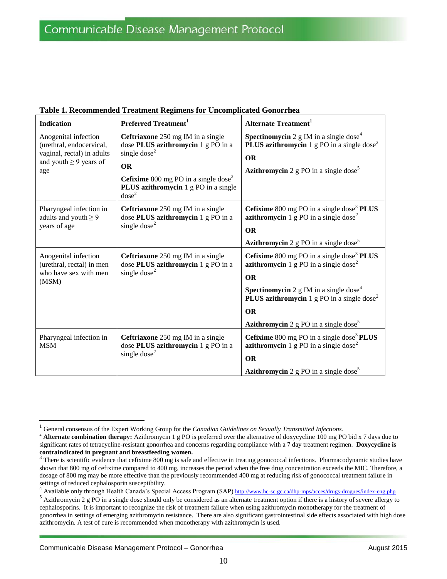| <b>Indication</b>                                                                                                    | Preferred Treatment <sup>1</sup>                                                                                                                                                                                                         | <b>Alternate Treatment</b> <sup>1</sup>                                                                                                                                                                                                                                                                                                             |
|----------------------------------------------------------------------------------------------------------------------|------------------------------------------------------------------------------------------------------------------------------------------------------------------------------------------------------------------------------------------|-----------------------------------------------------------------------------------------------------------------------------------------------------------------------------------------------------------------------------------------------------------------------------------------------------------------------------------------------------|
| Anogenital infection<br>(urethral, endocervical,<br>vaginal, rectal) in adults<br>and youth $\geq$ 9 years of<br>age | Ceftriaxone 250 mg IM in a single<br>dose PLUS azithromycin 1 g PO in a<br>single dose <sup>2</sup><br><b>OR</b><br><b>Cefixime</b> 800 mg PO in a single dose <sup>3</sup><br>PLUS azithromycin 1 g PO in a single<br>dose <sup>2</sup> | <b>Spectinomycin</b> 2 g IM in a single dose <sup>4</sup><br><b>PLUS azithromycin</b> 1 g PO in a single dose <sup>2</sup><br><b>OR</b><br><b>Azithromycin</b> 2 g PO in a single dose <sup>5</sup>                                                                                                                                                 |
| Pharyngeal infection in<br>adults and youth $\geq 9$<br>years of age                                                 | <b>Ceftriaxone</b> 250 mg IM in a single<br>dose PLUS azithromycin 1 g PO in a<br>single dose <sup>2</sup>                                                                                                                               | <b>Cefixime</b> 800 mg PO in a single dose <sup>3</sup> <b>PLUS</b><br><b>azithromycin</b> 1 g PO in a single dose <sup>2</sup><br><b>OR</b><br><b>Azithromycin</b> 2 g PO in a single dose <sup>5</sup>                                                                                                                                            |
| Anogenital infection<br>(urethral, rectal) in men<br>who have sex with men<br>(MSM)                                  | Ceftriaxone 250 mg IM in a single<br>dose PLUS azithromycin 1 g PO in a<br>single dose <sup>2</sup>                                                                                                                                      | <b>Cefixime</b> 800 mg PO in a single dose <sup>3</sup> <b>PLUS</b><br><b>azithromycin</b> 1 g PO in a single dose <sup>2</sup><br><b>OR</b><br><b>Spectinomycin</b> 2 g IM in a single dose <sup>4</sup><br><b>PLUS azithromycin</b> 1 g PO in a single dose <sup>2</sup><br><b>OR</b><br><b>Azithromycin</b> 2 g PO in a single dose <sup>5</sup> |
| Pharyngeal infection in<br><b>MSM</b>                                                                                | Ceftriaxone 250 mg IM in a single<br>dose PLUS azithromycin 1 g PO in a<br>single dose $2$                                                                                                                                               | <b>Cefixime</b> 800 mg PO in a single dose <sup>3</sup> <b>PLUS</b><br><b>azithromycin</b> 1 g PO in a single dose <sup>2</sup><br><b>OR</b><br><b>Azithromycin</b> 2 g PO in a single dose <sup>5</sup>                                                                                                                                            |

**Table 1. Recommended Treatment Regimens for Uncomplicated Gonorrhea** 

<sup>&</sup>lt;sup>1</sup> General consensus of the Expert Working Group for the *Canadian Guidelines on Sexually Transmitted Infections*.<br><sup>2</sup> **Alternate combination therany:** Azithromycin 1  $\sigma$  PO is preferred over the alternative of doxycycl

<sup>2</sup> **Alternate combination therapy:** Azithromycin 1 g PO is preferred over the alternative of doxycycline 100 mg PO bid x 7 days due to significant rates of tetracycline-resistant gonorrhea and concerns regarding compliance with a 7 day treatment regimen. **Doxycycline is contraindicated in pregnant and breastfeeding women.** 3

There is scientific evidence that cefixime 800 mg is safe and effective in treating gonococcal infections. Pharmacodynamic studies have shown that 800 mg of cefixime compared to 400 mg, increases the period when the free drug concentration exceeds the MIC. Therefore, a dosage of 800 mg may be more effective than the previously recommended 400 mg at reducing risk of gonococcal treatment failure in settings of reduced cephalosporin susceptibility.

<sup>4</sup> Available only through Health Canada's Special Access Program (SAP) <http://www.hc-sc.gc.ca/dhp-mps/acces/drugs-drogues/index-eng.php>

<sup>&</sup>lt;sup>5</sup> Azithromycin 2 g PO in a single dose should only be considered as an alternate treatment option if there is a history of severe allergy to cephalosporins. It is important to recognize the risk of treatment failure when using azithromycin monotherapy for the treatment of gonorrhea in settings of emerging azithromycin resistance. There are also significant gastrointestinal side effects associated with high dose azithromycin. A test of cure is recommended when monotherapy with azithromycin is used.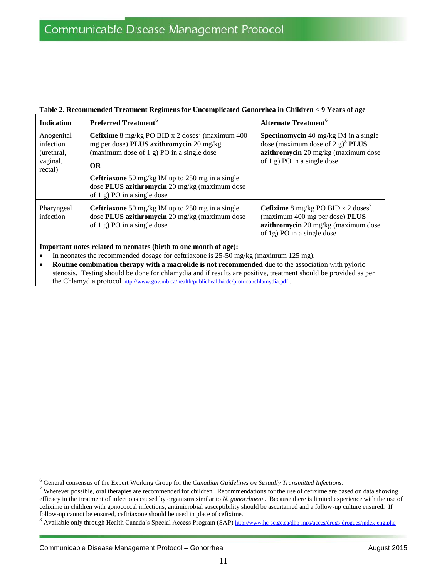| <b>Indication</b>                                            | <b>Preferred Treatment</b> <sup>6</sup>                                                                                                                                                                                                                                                                               | <b>Alternate Treatment</b> <sup>6</sup>                                                                                                                                   |
|--------------------------------------------------------------|-----------------------------------------------------------------------------------------------------------------------------------------------------------------------------------------------------------------------------------------------------------------------------------------------------------------------|---------------------------------------------------------------------------------------------------------------------------------------------------------------------------|
| Anogenital<br>infection<br>(urethral,<br>vaginal,<br>rectal) | <b>Cefixime</b> 8 mg/kg PO BID x 2 doses <sup>7</sup> (maximum 400)<br>mg per dose) PLUS azithromycin 20 mg/kg<br>(maximum dose of $1$ g) PO in a single dose<br><b>OR</b><br><b>Ceftriaxone</b> 50 mg/kg IM up to 250 mg in a single<br>dose PLUS azithromycin 20 mg/kg (maximum dose<br>of 1 g) PO in a single dose | <b>Spectinomycin</b> 40 mg/kg IM in a single<br>dose (maximum dose of 2 g) <sup>8</sup> <b>PLUS</b><br>azithromycin 20 mg/kg (maximum dose<br>of 1 g) PO in a single dose |
| Pharyngeal<br>infection                                      | <b>Ceftriaxone</b> 50 mg/kg IM up to 250 mg in a single<br>dose PLUS azithromycin 20 mg/kg (maximum dose<br>of 1 g) PO in a single dose                                                                                                                                                                               | <b>Cefixime</b> 8 mg/kg PO BID x 2 doses <sup>7</sup><br>(maximum 400 mg per dose) PLUS<br>azithromycin 20 mg/kg (maximum dose<br>of 1g) PO in a single dose              |

#### **Table 2. Recommended Treatment Regimens for Uncomplicated Gonorrhea in Children < 9 Years of age**

#### **Important notes related to neonates (birth to one month of age):**

- In neonates the recommended dosage for ceftriaxone is 25-50 mg/kg (maximum 125 mg).
- **Routine combination therapy with a macrolide is not recommended** due to the association with pyloric stenosis. Testing should be done for chlamydia and if results are positive, treatment should be provided as per the Chlamydia protocol <http://www.gov.mb.ca/health/publichealth/cdc/protocol/chlamydia.pdf> .

<sup>6</sup> General consensus of the Expert Working Group for the *Canadian Guidelines on Sexually Transmitted Infections*.

<sup>&</sup>lt;sup>7</sup> Wherever possible, oral therapies are recommended for children. Recommendations for the use of cefixime are based on data showing efficacy in the treatment of infections caused by organisms similar to *N. gonorrhoeae*. Because there is limited experience with the use of cefixime in children with gonococcal infections, antimicrobial susceptibility should be ascertained and a follow-up culture ensured. If follow-up cannot be ensured, ceftriaxone should be used in place of cefixime.

<sup>&</sup>lt;sup>8</sup> Available only through Health Canada's Special Access Program (SAP) <http://www.hc-sc.gc.ca/dhp-mps/acces/drugs-drogues/index-eng.php>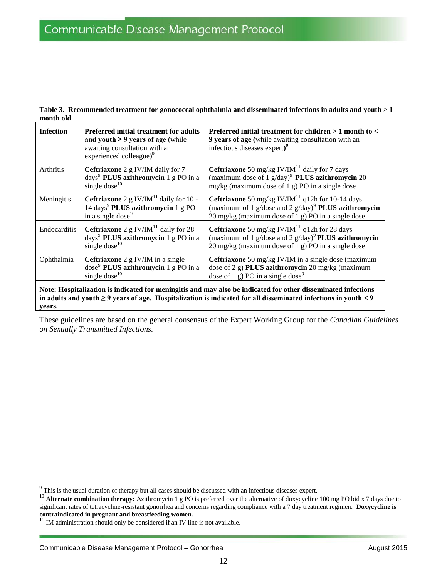| <b>Infection</b> | <b>Preferred initial treatment for adults</b><br>and youth $\geq$ 9 years of age (while<br>awaiting consultation with an<br>experienced colleague) <sup>9</sup> | Preferred initial treatment for children $>1$ month to $<$<br>9 years of age (while awaiting consultation with an<br>infectious diseases expert) <sup>9</sup>                                        |
|------------------|-----------------------------------------------------------------------------------------------------------------------------------------------------------------|------------------------------------------------------------------------------------------------------------------------------------------------------------------------------------------------------|
| Arthritis        | Ceftriaxone 2 g IV/IM daily for 7<br>days <sup>9</sup> PLUS azithromycin 1 g PO in a<br>single dose $^{10}$                                                     | <b>Ceftriaxone</b> 50 mg/kg IV/IM $^{11}$ daily for 7 days<br>(maximum dose of 1 $g/day$ ) <sup>9</sup> <b>PLUS azithromycin</b> 20<br>mg/kg (maximum dose of 1 g) PO in a single dose               |
| Meningitis       | <b>Ceftriaxone</b> 2 g IV/IM <sup>11</sup> daily for 10 -<br>14 days <sup>9</sup> PLUS azithromycin 1 g PO<br>in a single dose <sup>10</sup>                    | <b>Ceftriaxone</b> 50 mg/kg IV/IM <sup>11</sup> q12h for 10-14 days<br>(maximum of 1 g/dose and 2 g/day) <sup>9</sup> <b>PLUS azithromycin</b><br>20 mg/kg (maximum dose of 1 g) PO in a single dose |
| Endocarditis     | <b>Ceftriaxone</b> 2 g IV/IM <sup>11</sup> daily for 28<br>days <sup>9</sup> PLUS azithromycin 1 g PO in a<br>single dose <sup>10</sup>                         | <b>Ceftriaxone</b> 50 mg/kg IV/IM <sup>11</sup> q12h for 28 days<br>(maximum of 1 g/dose and 2 g/day) <sup>9</sup> PLUS azithromycin<br>20 mg/kg (maximum dose of 1 g) PO in a single dose           |
| Ophthalmia       | Ceftriaxone 2 g IV/IM in a single<br>dose <sup>9</sup> PLUS azithromycin 1 g PO in a<br>single dose $^{10}$                                                     | Ceftriaxone 50 mg/kg IV/IM in a single dose (maximum<br>dose of 2 g) PLUS azithromycin 20 mg/kg (maximum<br>dose of 1 g) PO in a single dose <sup>9</sup>                                            |

**Table 3. Recommended treatment for gonococcal ophthalmia and disseminated infections in adults and youth > 1 month old**

These guidelines are based on the general consensus of the Expert Working Group for the *Canadian Guidelines on Sexually Transmitted Infections.*

**years.**

<sup>&</sup>lt;sup>9</sup> This is the usual duration of therapy but all cases should be discussed with an infectious diseases expert.

<sup>&</sup>lt;sup>10</sup> **Alternate combination therapy:** Azithromycin 1 g PO is preferred over the alternative of doxycycline 100 mg PO bid x 7 days due to significant rates of tetracycline-resistant gonorrhea and concerns regarding compliance with a 7 day treatment regimen. **Doxycycline is contraindicated in pregnant and breastfeeding women.**

 $11$  IM administration should only be considered if an IV line is not available.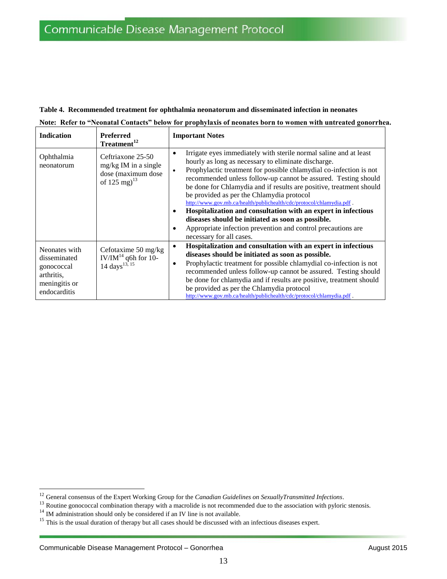#### **Table 4. Recommended treatment for ophthalmia neonatorum and disseminated infection in neonates**

|  |  |  |  |  |  |  |  |  |  |  |  |  | Note: Refer to "Neonatal Contacts" below for prophylaxis of neonates born to women with untreated gonorrhea. |
|--|--|--|--|--|--|--|--|--|--|--|--|--|--------------------------------------------------------------------------------------------------------------|
|--|--|--|--|--|--|--|--|--|--|--|--|--|--------------------------------------------------------------------------------------------------------------|

| <b>Indication</b>                                                                          | <b>Preferred</b><br>Treatment <sup>12</sup>                                              | <b>Important Notes</b>                                                                                                                                                                                                                                                                                                                                                                                                                                                                                                                                                                                                                                                                                                     |
|--------------------------------------------------------------------------------------------|------------------------------------------------------------------------------------------|----------------------------------------------------------------------------------------------------------------------------------------------------------------------------------------------------------------------------------------------------------------------------------------------------------------------------------------------------------------------------------------------------------------------------------------------------------------------------------------------------------------------------------------------------------------------------------------------------------------------------------------------------------------------------------------------------------------------------|
| Ophthalmia<br>neonatorum                                                                   | Ceftriaxone 25-50<br>$mg/kg$ IM in a single<br>dose (maximum dose)<br>of 125 mg) $^{13}$ | Irrigate eyes immediately with sterile normal saline and at least<br>$\bullet$<br>hourly as long as necessary to eliminate discharge.<br>Prophylactic treatment for possible chlamydial co-infection is not<br>$\bullet$<br>recommended unless follow-up cannot be assured. Testing should<br>be done for Chlamydia and if results are positive, treatment should<br>be provided as per the Chlamydia protocol<br>http://www.gov.mb.ca/health/publichealth/cdc/protocol/chlamydia.pdf.<br>Hospitalization and consultation with an expert in infectious<br>$\bullet$<br>diseases should be initiated as soon as possible.<br>Appropriate infection prevention and control precautions are<br>٠<br>necessary for all cases. |
| Neonates with<br>disseminated<br>gonococcal<br>arthritis.<br>meningitis or<br>endocarditis | Cefotaxime 50 mg/kg<br>IV/IM $^{14}$ q6h for 10-<br>$14 \text{ days}^{13, 15}$           | Hospitalization and consultation with an expert in infectious<br>$\bullet$<br>diseases should be initiated as soon as possible.<br>Prophylactic treatment for possible chlamydial co-infection is not<br>$\bullet$<br>recommended unless follow-up cannot be assured. Testing should<br>be done for chlamydia and if results are positive, treatment should<br>be provided as per the Chlamydia protocol<br>http://www.gov.mb.ca/health/publichealth/cdc/protocol/chlamydia.pdf.                                                                                                                                                                                                                                           |

<sup>12</sup> General consensus of the Expert Working Group for the *Canadian Guidelines on SexuallyTransmitted Infections*.

<sup>&</sup>lt;sup>13</sup> Routine gonococcal combination therapy with a macrolide is not recommended due to the association with pyloric stenosis.

<sup>&</sup>lt;sup>14</sup> IM administration should only be considered if an IV line is not available.

<sup>&</sup>lt;sup>15</sup> This is the usual duration of therapy but all cases should be discussed with an infectious diseases expert.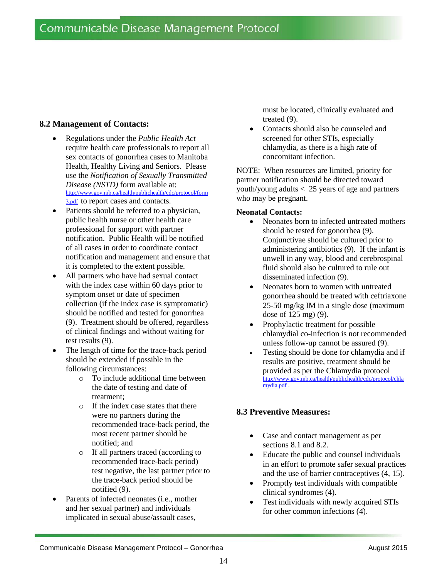## **8.2 Management of Contacts:**

- Regulations under the *Public Health Act* require health care professionals to report all sex contacts of gonorrhea cases to Manitoba Health, Healthy Living and Seniors. Please use the *Notification of Sexually Transmitted Disease (NSTD)* form available at: [http://www.gov.mb.ca/health/publichealth/cdc/protocol/form](http://www.gov.mb.ca/health/publichealth/cdc/protocol/form3.pdf) [3.pdf](http://www.gov.mb.ca/health/publichealth/cdc/protocol/form3.pdf) to report cases and contacts.
- Patients should be referred to a physician, public health nurse or other health care professional for support with partner notification. Public Health will be notified of all cases in order to coordinate contact notification and management and ensure that it is completed to the extent possible.
- All partners who have had sexual contact with the index case within 60 days prior to symptom onset or date of specimen collection (if the index case is symptomatic) should be notified and tested for gonorrhea (9). Treatment should be offered, regardless of clinical findings and without waiting for test results (9).
- The length of time for the trace-back period should be extended if possible in the following circumstances:
	- o To include additional time between the date of testing and date of treatment;
	- o If the index case states that there were no partners during the recommended trace-back period, the most recent partner should be notified; and
	- o If all partners traced (according to recommended trace-back period) test negative, the last partner prior to the trace-back period should be notified (9).
- Parents of infected neonates (i.e., mother and her sexual partner) and individuals implicated in sexual abuse/assault cases,

must be located, clinically evaluated and treated (9).

 Contacts should also be counseled and screened for other STIs, especially chlamydia, as there is a high rate of concomitant infection.

NOTE: When resources are limited, priority for partner notification should be directed toward youth/young adults < 25 years of age and partners who may be pregnant.

#### **Neonatal Contacts:**

- Neonates born to infected untreated mothers should be tested for gonorrhea (9). Conjunctivae should be cultured prior to administering antibiotics (9). If the infant is unwell in any way, blood and cerebrospinal fluid should also be cultured to rule out disseminated infection (9).
- Neonates born to women with untreated gonorrhea should be treated with ceftriaxone 25-50 mg/kg IM in a single dose (maximum dose of 125 mg) (9).
- Prophylactic treatment for possible chlamydial co-infection is not recommended unless follow-up cannot be assured (9).
- Testing should be done for chlamydia and if results are positive, treatment should be provided as per the Chlamydia protocol [http://www.gov.mb.ca/health/publichealth/cdc/protocol/chla](http://www.gov.mb.ca/health/publichealth/cdc/protocol/chlamydia.pdf) [mydia.pdf](http://www.gov.mb.ca/health/publichealth/cdc/protocol/chlamydia.pdf) .

## **8.3 Preventive Measures:**

- Case and contact management as per sections 8.1 and 8.2.
- Educate the public and counsel individuals in an effort to promote safer sexual practices and the use of barrier contraceptives (4, 15).
- Promptly test individuals with compatible clinical syndromes (4).
- Test individuals with newly acquired STIs for other common infections (4).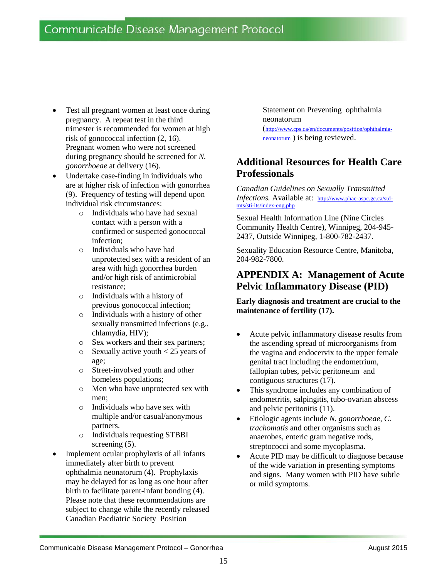- Test all pregnant women at least once during pregnancy. A repeat test in the third trimester is recommended for women at high risk of gonococcal infection (2, 16). Pregnant women who were not screened during pregnancy should be screened for *N. gonorrhoeae* at delivery (16).
- Undertake case-finding in individuals who are at higher risk of infection with gonorrhea (9). Frequency of testing will depend upon individual risk circumstances:
	- o Individuals who have had sexual contact with a person with a confirmed or suspected gonococcal infection;
	- o Individuals who have had unprotected sex with a resident of an area with high gonorrhea burden and/or high risk of antimicrobial resistance;
	- o Individuals with a history of previous gonococcal infection;
	- o Individuals with a history of other sexually transmitted infections (e.g., chlamydia, HIV);
	- o Sex workers and their sex partners;
	- $\circ$  Sexually active youth  $\lt$  25 years of age;
	- o Street-involved youth and other homeless populations;
	- o Men who have unprotected sex with men;
	- o Individuals who have sex with multiple and/or casual/anonymous partners.
	- o Individuals requesting STBBI screening  $(5)$ .
- Implement ocular prophylaxis of all infants immediately after birth to prevent ophthalmia neonatorum (4). Prophylaxis may be delayed for as long as one hour after birth to facilitate parent-infant bonding (4). Please note that these recommendations are subject to change while the recently released Canadian Paediatric Society Position

Statement on Preventing ophthalmia neonatorum

([http://www.cps.ca/en/documents/position/ophthalmia](http://www.cps.ca/en/documents/position/ophthalmia-neonatorum)[neonatorum](http://www.cps.ca/en/documents/position/ophthalmia-neonatorum) ) is being reviewed.

# **Additional Resources for Health Care Professionals**

*Canadian Guidelines on Sexually Transmitted Infections.* Available at: [http://www.phac-aspc.gc.ca/std](http://www.phac-aspc.gc.ca/std-mts/sti-its/index-eng.php)[mts/sti-its/index-eng.php](http://www.phac-aspc.gc.ca/std-mts/sti-its/index-eng.php)

Sexual Health Information Line (Nine Circles Community Health Centre), Winnipeg, 204-945- 2437, Outside Winnipeg, 1-800-782-2437.

Sexuality Education Resource Centre, Manitoba, 204-982-7800.

## **APPENDIX A: Management of Acute Pelvic Inflammatory Disease (PID)**

**Early diagnosis and treatment are crucial to the maintenance of fertility (17).**

- Acute pelvic inflammatory disease results from the ascending spread of microorganisms from the vagina and endocervix to the upper female genital tract including the endometrium, fallopian tubes, pelvic peritoneum and contiguous structures (17).
- This syndrome includes any combination of endometritis, salpingitis, tubo-ovarian abscess and pelvic peritonitis (11).
- Etiologic agents include *N. gonorrhoeae, C. trachomatis* and other organisms such as anaerobes, enteric gram negative rods, streptococci and some mycoplasma.
- Acute PID may be difficult to diagnose because of the wide variation in presenting symptoms and signs. Many women with PID have subtle or mild symptoms.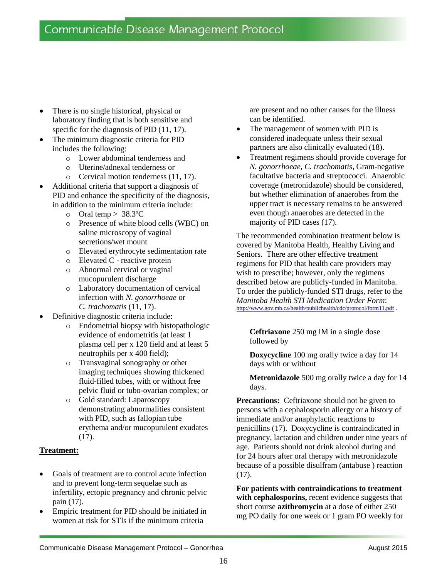- There is no single historical, physical or laboratory finding that is both sensitive and specific for the diagnosis of PID  $(11, 17)$ .
- The minimum diagnostic criteria for PID includes the following:
	- o Lower abdominal tenderness and
	- o Uterine/adnexal tenderness or
	- o Cervical motion tenderness (11, 17).
- Additional criteria that support a diagnosis of PID and enhance the specificity of the diagnosis, in addition to the minimum criteria include:
	- o Oral temp  $> 38.3$ °C
	- o Presence of white blood cells (WBC) on saline microscopy of vaginal secretions/wet mount
	- o Elevated erythrocyte sedimentation rate
	- o Elevated C reactive protein
	- o Abnormal cervical or vaginal mucopurulent discharge
	- o Laboratory documentation of cervical infection with *N. gonorrhoeae* or *C. trachomatis* (11, 17).
- Definitive diagnostic criteria include:
	- o Endometrial biopsy with histopathologic evidence of endometritis (at least 1 plasma cell per x 120 field and at least 5 neutrophils per x 400 field);
	- o Transvaginal sonography or other imaging techniques showing thickened fluid-filled tubes, with or without free pelvic fluid or tubo-ovarian complex; or
	- o Gold standard: Laparoscopy demonstrating abnormalities consistent with PID, such as fallopian tube erythema and/or mucopurulent exudates (17).

#### **Treatment:**

- Goals of treatment are to control acute infection and to prevent long-term sequelae such as infertility, ectopic pregnancy and chronic pelvic pain (17).
- Empiric treatment for PID should be initiated in women at risk for STIs if the minimum criteria

are present and no other causes for the illness can be identified.

- The management of women with PID is considered inadequate unless their sexual partners are also clinically evaluated (18).
- Treatment regimens should provide coverage for *N. gonorrhoeae*, *C. trachomatis*, Gram-negative facultative bacteria and streptococci. Anaerobic coverage (metronidazole) should be considered, but whether elimination of anaerobes from the upper tract is necessary remains to be answered even though anaerobes are detected in the majority of PID cases (17).

The recommended combination treatment below is covered by Manitoba Health, Healthy Living and Seniors. There are other effective treatment regimens for PID that health care providers may wish to prescribe; however, only the regimens described below are publicly-funded in Manitoba. To order the publicly-funded STI drugs, refer to the *Manitoba Health STI Medication Order Form*: <http://www.gov.mb.ca/health/publichealth/cdc/protocol/form11.pdf> .

**Ceftriaxone** 250 mg IM in a single dose followed by

**Doxycycline** 100 mg orally twice a day for 14 days with or without

**Metronidazole** 500 mg orally twice a day for 14 days.

Precautions: Ceftriaxone should not be given to persons with a cephalosporin allergy or a history of immediate and/or anaphylactic reactions to penicillins (17). Doxycycline is contraindicated in pregnancy, lactation and children under nine years of age. Patients should not drink alcohol during and for 24 hours after oral therapy with metronidazole because of a possible disulfram (antabuse ) reaction (17).

**For patients with contraindications to treatment with cephalosporins,** recent evidence suggests that short course **azithromycin** at a dose of either 250 mg PO daily for one week or 1 gram PO weekly for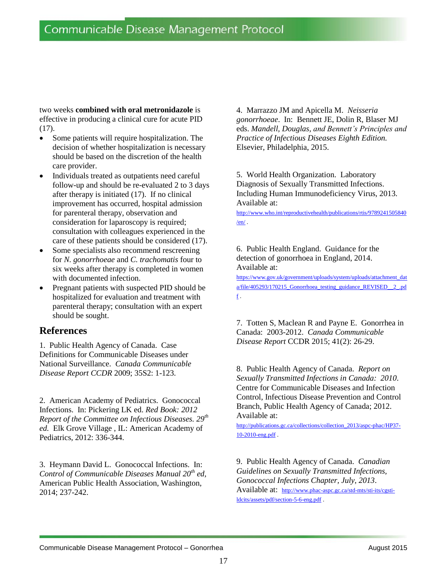two weeks **combined with oral metronidazole** is effective in producing a clinical cure for acute PID (17).

- Some patients will require hospitalization. The decision of whether hospitalization is necessary should be based on the discretion of the health care provider.
- Individuals treated as outpatients need careful follow-up and should be re-evaluated 2 to 3 days after therapy is initiated (17). If no clinical improvement has occurred, hospital admission for parenteral therapy, observation and consideration for laparoscopy is required; consultation with colleagues experienced in the care of these patients should be considered (17).
- Some specialists also recommend rescreening for *N. gonorrhoeae* and *C. trachomatis* four to six weeks after therapy is completed in women with documented infection.
- Pregnant patients with suspected PID should be hospitalized for evaluation and treatment with parenteral therapy; consultation with an expert should be sought.

## **References**

1. Public Health Agency of Canada. Case Definitions for Communicable Diseases under National Surveillance. *Canada Communicable Disease Report CCDR* 2009; 35S2: 1-123.

2. American Academy of Pediatrics. Gonococcal Infections. In: Pickering LK ed. *Red Book: 2012 Report of the Committee on Infectious Diseases. 29th ed.* Elk Grove Village , IL: American Academy of Pediatrics, 2012: 336-344.

3. Heymann David L. Gonococcal Infections. In: *Control of Communicable Diseases Manual 20th ed,* American Public Health Association, Washington, 2014; 237-242.

4. Marrazzo JM and Apicella M. *Neisseria gonorrhoeae*. In: Bennett JE, Dolin R, Blaser MJ eds. *Mandell, Douglas, and Bennett's Principles and Practice of Infectious Diseases Eighth Edition.* Elsevier, Philadelphia, 2015.

5. World Health Organization. Laboratory Diagnosis of Sexually Transmitted Infections. Including Human Immunodeficiency Virus, 2013. Available at:

[http://www.who.int/reproductivehealth/publications/rtis/9789241505840](http://www.who.int/reproductivehealth/publications/rtis/9789241505840/en/)  $/en/$ .

6. Public Health England. Guidance for the detection of gonorrhoea in England, 2014. Available at:

[https://www.gov.uk/government/uploads/system/uploads/attachment\\_dat](https://www.gov.uk/government/uploads/system/uploads/attachment_data/file/405293/170215_Gonorrhoea_testing_guidance_REVISED__2_.pdf) [a/file/405293/170215\\_Gonorrhoea\\_testing\\_guidance\\_REVISED\\_\\_2\\_.pd](https://www.gov.uk/government/uploads/system/uploads/attachment_data/file/405293/170215_Gonorrhoea_testing_guidance_REVISED__2_.pdf)  $\underline{f}$  $\underline{f}$  $\underline{f}$ .

7. Totten S, Maclean R and Payne E. Gonorrhea in Canada: 2003-2012. *Canada Communicable Disease Report* CCDR 2015; 41(2): 26-29.

8. Public Health Agency of Canada. *Report on Sexually Transmitted Infections in Canada: 2010*. Centre for Communicable Diseases and Infection Control, Infectious Disease Prevention and Control Branch, Public Health Agency of Canada; 2012. Available at:

[http://publications.gc.ca/collections/collection\\_2013/aspc-phac/HP37-](http://publications.gc.ca/collections/collection_2013/aspc-phac/HP37-10-2010-eng.pdf) [10-2010-eng.pdf](http://publications.gc.ca/collections/collection_2013/aspc-phac/HP37-10-2010-eng.pdf) .

9. Public Health Agency of Canada. *Canadian Guidelines on Sexually Transmitted Infections, Gonococcal Infections Chapter, July, 2013*. Available at: [http://www.phac-aspc.gc.ca/std-mts/sti-its/cgsti](http://www.phac-aspc.gc.ca/std-mts/sti-its/cgsti-ldcits/assets/pdf/section-5-6-eng.pdf)[ldcits/assets/pdf/section-5-6-eng.pdf](http://www.phac-aspc.gc.ca/std-mts/sti-its/cgsti-ldcits/assets/pdf/section-5-6-eng.pdf) .